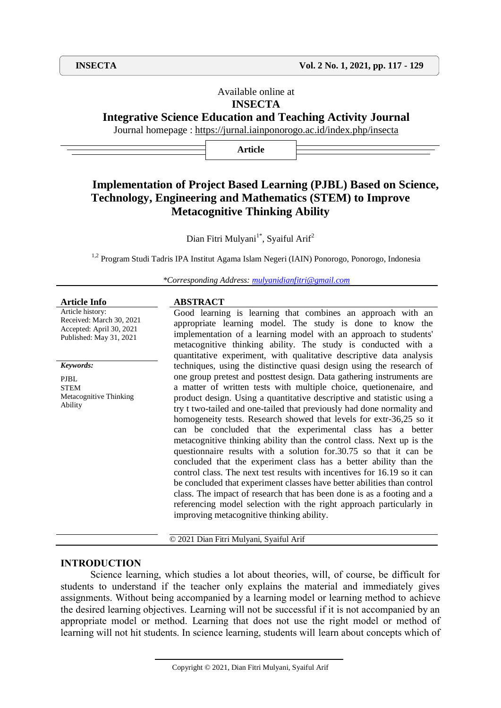# Available online at **INSECTA**

# **Integrative Science Education and Teaching Activity Journal**

Journal homepage :<https://jurnal.iainponorogo.ac.id/index.php/insecta>

**Article**

# **Implementation of Project Based Learning (PJBL) Based on Science, Technology, Engineering and Mathematics (STEM) to Improve Metacognitive Thinking Ability**

Dian Fitri Mulyani<sup>1\*</sup>, Syaiful Arif<sup>2</sup>

<sup>1,2</sup> Program Studi Tadris IPA Institut Agama Islam Negeri (IAIN) Ponorogo, Ponorogo, Indonesia

*\*Corresponding Address: [mulyanidianfitri@gmail.com](mailto:mulyanidianfitri@gmail.com)*

| <b>Article Info</b>                                                                                 | <b>ABSTRACT</b>                                                                                                                                                                                                                                                                                                                                                                                                                                                                                                                                                                                                                                                                                                                                                                                                                                                                                                                                                                                             |
|-----------------------------------------------------------------------------------------------------|-------------------------------------------------------------------------------------------------------------------------------------------------------------------------------------------------------------------------------------------------------------------------------------------------------------------------------------------------------------------------------------------------------------------------------------------------------------------------------------------------------------------------------------------------------------------------------------------------------------------------------------------------------------------------------------------------------------------------------------------------------------------------------------------------------------------------------------------------------------------------------------------------------------------------------------------------------------------------------------------------------------|
| Article history:<br>Received: March 30, 2021<br>Accepted: April 30, 2021<br>Published: May 31, 2021 | Good learning is learning that combines an approach with an<br>appropriate learning model. The study is done to know the<br>implementation of a learning model with an approach to students'<br>metacognitive thinking ability. The study is conducted with a<br>quantitative experiment, with qualitative descriptive data analysis                                                                                                                                                                                                                                                                                                                                                                                                                                                                                                                                                                                                                                                                        |
| Keywords:                                                                                           | techniques, using the distinctive quasi design using the research of                                                                                                                                                                                                                                                                                                                                                                                                                                                                                                                                                                                                                                                                                                                                                                                                                                                                                                                                        |
| <b>PJBL</b><br><b>STEM</b><br>Metacognitive Thinking<br>Ability                                     | one group pretest and posttest design. Data gathering instruments are<br>a matter of written tests with multiple choice, quetionenaire, and<br>product design. Using a quantitative descriptive and statistic using a<br>try t two-tailed and one-tailed that previously had done normality and<br>homogeneity tests. Research showed that levels for extr-36,25 so it<br>can be concluded that the experimental class has a better<br>metacognitive thinking ability than the control class. Next up is the<br>questionnaire results with a solution for 30.75 so that it can be<br>concluded that the experiment class has a better ability than the<br>control class. The next test results with incentives for 16.19 so it can<br>be concluded that experiment classes have better abilities than control<br>class. The impact of research that has been done is as a footing and a<br>referencing model selection with the right approach particularly in<br>improving metacognitive thinking ability. |

© 2021 Dian Fitri Mulyani, Syaiful Arif

### **INTRODUCTION**

Science learning, which studies a lot about theories, will, of course, be difficult for students to understand if the teacher only explains the material and immediately gives assignments. Without being accompanied by a learning model or learning method to achieve the desired learning objectives. Learning will not be successful if it is not accompanied by an appropriate model or method. Learning that does not use the right model or method of learning will not hit students. In science learning, students will learn about concepts which of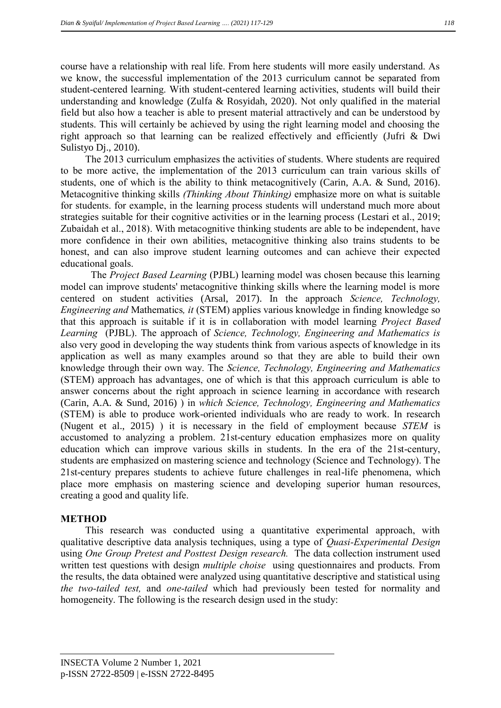course have a relationship with real life. From here students will more easily understand. As we know, the successful implementation of the 2013 curriculum cannot be separated from student-centered learning. With student-centered learning activities, students will build their understanding and knowledge (Zulfa & Rosyidah, 2020). Not only qualified in the material field but also how a teacher is able to present material attractively and can be understood by students. This will certainly be achieved by using the right learning model and choosing the right approach so that learning can be realized effectively and efficiently (Jufri & Dwi Sulistyo Dj., 2010).

The 2013 curriculum emphasizes the activities of students. Where students are required to be more active, the implementation of the 2013 curriculum can train various skills of students, one of which is the ability to think metacognitively (Carin, A.A. & Sund, 2016). Metacognitive thinking skills *(Thinking About Thinking)* emphasize more on what is suitable for students. for example, in the learning process students will understand much more about strategies suitable for their cognitive activities or in the learning process (Lestari et al., 2019; Zubaidah et al., 2018). With metacognitive thinking students are able to be independent, have more confidence in their own abilities, metacognitive thinking also trains students to be honest, and can also improve student learning outcomes and can achieve their expected educational goals.

The *Project Based Learning* (PJBL) learning model was chosen because this learning model can improve students' metacognitive thinking skills where the learning model is more centered on student activities (Arsal, 2017). In the approach *Science, Technology, Engineering and* Mathematics*, it* (STEM) applies various knowledge in finding knowledge so that this approach is suitable if it is in collaboration with model learning *Project Based Learning* (PJBL). The approach of *Science, Technology, Engineering and Mathematics is*  also very good in developing the way students think from various aspects of knowledge in its application as well as many examples around so that they are able to build their own knowledge through their own way. The *Science, Technology, Engineering and Mathematics*  (STEM) approach has advantages, one of which is that this approach curriculum is able to answer concerns about the right approach in science learning in accordance with research (Carin, A.A. & Sund, 2016) ) in *which Science, Technology, Engineering and Mathematics*  (STEM) is able to produce work-oriented individuals who are ready to work. In research (Nugent et al., 2015) ) it is necessary in the field of employment because *STEM* is accustomed to analyzing a problem. 21st-century education emphasizes more on quality education which can improve various skills in students. In the era of the 21st-century, students are emphasized on mastering science and technology (Science and Technology). The 21st-century prepares students to achieve future challenges in real-life phenomena, which place more emphasis on mastering science and developing superior human resources, creating a good and quality life.

# **METHOD**

This research was conducted using a quantitative experimental approach, with qualitative descriptive data analysis techniques, using a type of *Quasi-Experimental Design*  using *One Group Pretest and Posttest Design research.* The data collection instrument used written test questions with design *multiple choise* using questionnaires and products. From the results, the data obtained were analyzed using quantitative descriptive and statistical using *the two-tailed test,* and *one-tailed* which had previously been tested for normality and homogeneity. The following is the research design used in the study: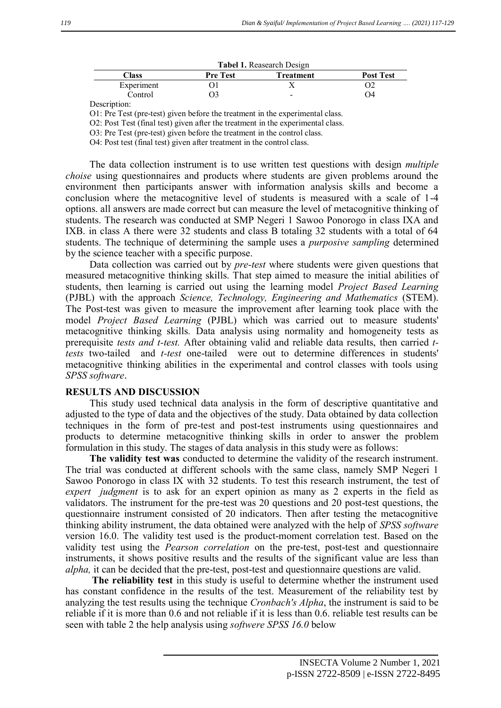| <b>Tabel 1.</b> Reasearch Design |                 |           |                  |  |  |  |  |  |
|----------------------------------|-----------------|-----------|------------------|--|--|--|--|--|
| <b>Class</b>                     | <b>Pre Test</b> | Treatment | <b>Post Test</b> |  |  |  |  |  |
| Experiment                       |                 |           |                  |  |  |  |  |  |
| Control                          |                 | -         | O4               |  |  |  |  |  |

**Tabel 1.** Reasearch Design

Description:

O1: Pre Test (pre-test) given before the treatment in the experimental class.

O2: Post Test (final test) given after the treatment in the experimental class.

O3: Pre Test (pre-test) given before the treatment in the control class.

O4: Post test (final test) given after treatment in the control class.

The data collection instrument is to use written test questions with design *multiple choise* using questionnaires and products where students are given problems around the environment then participants answer with information analysis skills and become a conclusion where the metacognitive level of students is measured with a scale of 1-4 options. all answers are made correct but can measure the level of metacognitive thinking of students. The research was conducted at SMP Negeri 1 Sawoo Ponorogo in class IXA and IXB. in class A there were 32 students and class B totaling 32 students with a total of 64 students. The technique of determining the sample uses a *purposive sampling* determined by the science teacher with a specific purpose.

Data collection was carried out by *pre-test* where students were given questions that measured metacognitive thinking skills. That step aimed to measure the initial abilities of students, then learning is carried out using the learning model *Project Based Learning*  (PJBL) with the approach *Science, Technology, Engineering and Mathematics* (STEM). The Post-test was given to measure the improvement after learning took place with the model *Project Based Learning* (PJBL) which was carried out to measure students' metacognitive thinking skills*.* Data analysis using normality and homogeneity tests as prerequisite *tests and t-test.* After obtaining valid and reliable data results, then carried *ttests* two-tailed and *t-test* one-tailed were out to determine differences in students' metacognitive thinking abilities in the experimental and control classes with tools using *SPSS software*.

#### **RESULTS AND DISCUSSION**

This study used technical data analysis in the form of descriptive quantitative and adjusted to the type of data and the objectives of the study. Data obtained by data collection techniques in the form of pre-test and post-test instruments using questionnaires and products to determine metacognitive thinking skills in order to answer the problem formulation in this study. The stages of data analysis in this study were as follows:

**The validity test was** conducted to determine the validity of the research instrument. The trial was conducted at different schools with the same class, namely SMP Negeri 1 Sawoo Ponorogo in class IX with 32 students. To test this research instrument, the test of *expert judgment* is to ask for an expert opinion as many as 2 experts in the field as validators. The instrument for the pre-test was 20 questions and 20 post-test questions, the questionnaire instrument consisted of 20 indicators. Then after testing the metacognitive thinking ability instrument, the data obtained were analyzed with the help of *SPSS software*  version 16.0. The validity test used is the product-moment correlation test. Based on the validity test using the *Pearson correlation* on the pre-test, post-test and questionnaire instruments, it shows positive results and the results of the significant value are less than *alpha,* it can be decided that the pre-test, post-test and questionnaire questions are valid.

**The reliability test** in this study is useful to determine whether the instrument used has constant confidence in the results of the test. Measurement of the reliability test by analyzing the test results using the technique *Cronbach's Alpha*, the instrument is said to be reliable if it is more than 0.6 and not reliable if it is less than 0.6. reliable test results can be seen with table 2 the help analysis using *softwere SPSS 16.0* below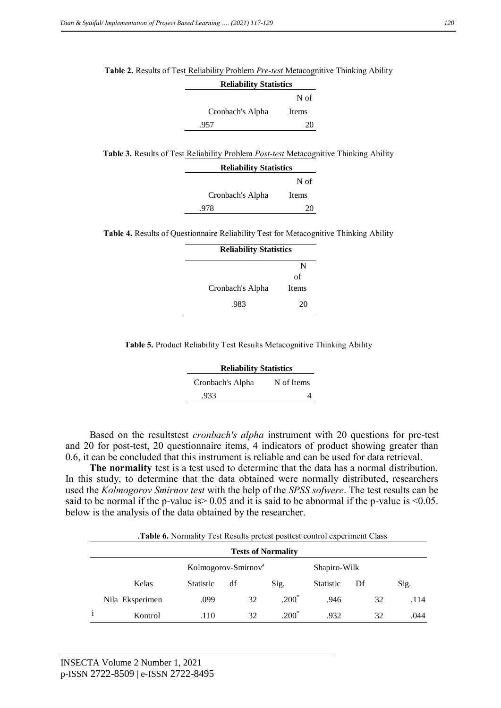| <b>Reliability Statistics</b> |                                                                                                     |  |
|-------------------------------|-----------------------------------------------------------------------------------------------------|--|
|                               | N of                                                                                                |  |
| Cronbach's Alpha              | Items                                                                                               |  |
| .957                          | 20                                                                                                  |  |
|                               |                                                                                                     |  |
|                               | <b>Table 3.</b> Results of Test Reliability Problem <i>Post-test</i> Metacognitive Thinking Ability |  |
| <b>Reliability Statistics</b> |                                                                                                     |  |
|                               | N of                                                                                                |  |
| Cronbach's Alpha              | Items                                                                                               |  |
| .978                          | 20                                                                                                  |  |
|                               |                                                                                                     |  |
|                               | <b>Table 4.</b> Results of Questionnaire Reliability Test for Metacognitive Thinking Ability        |  |
| <b>Delighility Statistics</b> |                                                                                                     |  |

| <b>Reliability Statistics</b> |              |
|-------------------------------|--------------|
|                               | N            |
|                               | of           |
| Cronbach's Alpha              | <b>Items</b> |
| .983                          | 20           |
|                               |              |

**Table 2.** Results of Test Reliability Problem *Pre-test* Metacognitive Thinking Ability

**Table 5.** Product Reliability Test Results Metacognitive Thinking Ability

| <b>Reliability Statistics</b> |            |
|-------------------------------|------------|
| Cronbach's Alpha              | N of Items |
| .933                          |            |

Based on the resultstest *cronbach's alpha* instrument with 20 questions for pre-test and 20 for post-test, 20 questionnaire items, 4 indicators of product showing greater than 0.6, it can be concluded that this instrument is reliable and can be used for data retrieval.

**The normality** test is a test used to determine that the data has a normal distribution. In this study, to determine that the data obtained were normally distributed, researchers used the *Kolmogorov Smirnov test* with the help of the *SPSS sofwere*. The test results can be said to be normal if the p-value is  $> 0.05$  and it is said to be abnormal if the p-value is  $\leq 0.05$ . below is the analysis of the data obtained by the researcher.

.**Table 6.** Normality Test Results pretest posttest control experiment Class

| <b>Tests of Normality</b> |                  |                                 |         |                  |    |      |  |
|---------------------------|------------------|---------------------------------|---------|------------------|----|------|--|
|                           |                  | Kolmogorov-Smirnov <sup>a</sup> |         | Shapiro-Wilk     |    |      |  |
| Kelas                     | <b>Statistic</b> | df                              | Sig.    | <b>Statistic</b> | Df | Sig. |  |
| Nila Eksperimen           | .099             | 32                              | $.200*$ | .946             | 32 | .114 |  |
| Kontrol                   | .110             | 32                              | $.200*$ | .932             | 32 | .044 |  |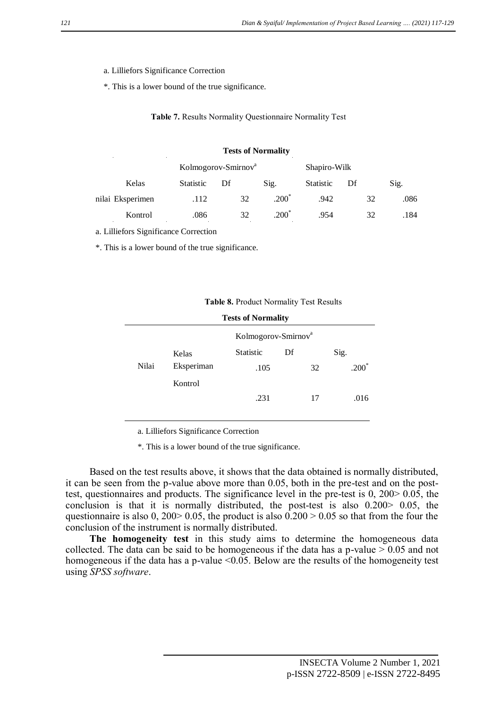- a. Lilliefors Significance Correction
- \*. This is a lower bound of the true significance.

**Table 7.** Results Normality Questionnaire Normality Test

#### **Tests of Normality**

|                  | Kolmogorov-Smirnov <sup>a</sup> |    |         | Shapiro-Wilk     |    |      |
|------------------|---------------------------------|----|---------|------------------|----|------|
| Kelas            | <b>Statistic</b>                | Df | Sig.    | <b>Statistic</b> | Df | Sig. |
| nilai Eksperimen | .112                            | 32 | $.200*$ | .942             | 32 | .086 |
| Kontrol          | .086                            | 32 | $.200*$ | .954             | 32 | .184 |

a. Lilliefors Significance Correction

\*. This is a lower bound of the true significance.

| Table 8. Product Normality Test Results |            |                                 |    |    |      |  |  |  |
|-----------------------------------------|------------|---------------------------------|----|----|------|--|--|--|
| <b>Tests of Normality</b>               |            |                                 |    |    |      |  |  |  |
|                                         |            | Kolmogorov-Smirnov <sup>a</sup> |    |    |      |  |  |  |
|                                         | Kelas      | <b>Statistic</b>                | Df |    | Sig. |  |  |  |
| Nilai                                   | Eksperiman | .105                            |    | 32 | .200 |  |  |  |
|                                         | Kontrol    |                                 |    |    |      |  |  |  |
|                                         |            | .231                            |    | 17 | .016 |  |  |  |

a. Lilliefors Significance Correction

\*. This is a lower bound of the true significance.

Based on the test results above, it shows that the data obtained is normally distributed, it can be seen from the p-value above more than 0.05, both in the pre-test and on the posttest, questionnaires and products. The significance level in the pre-test is 0, 200> 0.05, the conclusion is that it is normally distributed, the post-test is also 0.200> 0.05, the questionnaire is also  $0, 200 > 0.05$ , the product is also  $0.200 > 0.05$  so that from the four the conclusion of the instrument is normally distributed.

**The homogeneity test** in this study aims to determine the homogeneous data collected. The data can be said to be homogeneous if the data has a p-value  $> 0.05$  and not homogeneous if the data has a p-value <0.05. Below are the results of the homogeneity test using *SPSS software*.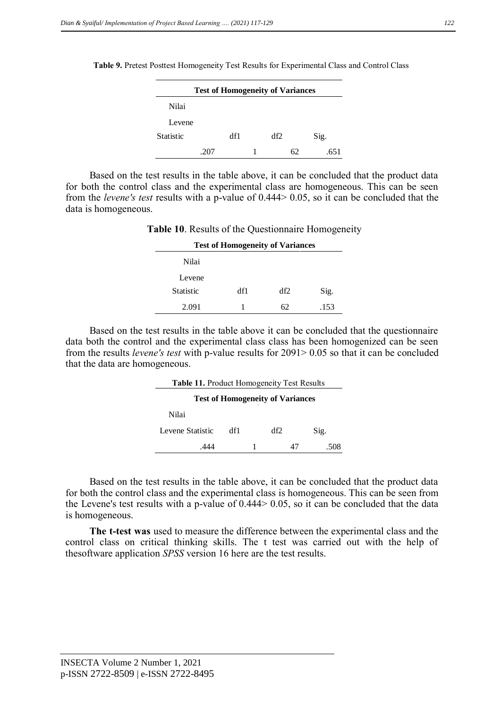**Table 9.** Pretest Posttest Homogeneity Test Results for Experimental Class and Control Class

| <b>Test of Homogeneity of Variances</b> |      |     |  |     |    |      |  |
|-----------------------------------------|------|-----|--|-----|----|------|--|
| Nilai                                   |      |     |  |     |    |      |  |
| Levene                                  |      |     |  |     |    |      |  |
| <b>Statistic</b>                        |      | df1 |  | df2 |    | Sig. |  |
|                                         | .207 |     |  |     | 62 | 651  |  |

Based on the test results in the table above, it can be concluded that the product data for both the control class and the experimental class are homogeneous. This can be seen from the *levene's test* results with a p-value of 0.444> 0.05, so it can be concluded that the data is homogeneous.

| <b>Table 10.</b> Results of the Questionnaire Homogeneity |                                         |     |      |  |  |  |
|-----------------------------------------------------------|-----------------------------------------|-----|------|--|--|--|
|                                                           | <b>Test of Homogeneity of Variances</b> |     |      |  |  |  |
| Nilai                                                     |                                         |     |      |  |  |  |
| Levene                                                    |                                         |     |      |  |  |  |
| <b>Statistic</b>                                          | df1                                     | df2 | Sig. |  |  |  |
| 2.091                                                     |                                         | 62  | .153 |  |  |  |

Based on the test results in the table above it can be concluded that the questionnaire data both the control and the experimental class class has been homogenized can be seen from the results *levene's test* with p-value results for 2091> 0.05 so that it can be concluded that the data are homogeneous.

| Table 11. Product Homogeneity Test Results |     |  |     |  |      |  |  |
|--------------------------------------------|-----|--|-----|--|------|--|--|
| <b>Test of Homogeneity of Variances</b>    |     |  |     |  |      |  |  |
| Nilai                                      |     |  |     |  |      |  |  |
| Levene Statistic                           | df1 |  | df2 |  | Sig. |  |  |
|                                            |     |  |     |  | 508  |  |  |

Based on the test results in the table above, it can be concluded that the product data for both the control class and the experimental class is homogeneous. This can be seen from the Levene's test results with a p-value of 0.444> 0.05, so it can be concluded that the data is homogeneous.

**The t-test was** used to measure the difference between the experimental class and the control class on critical thinking skills. The t test was carried out with the help of thesoftware application *SPSS* version 16 here are the test results.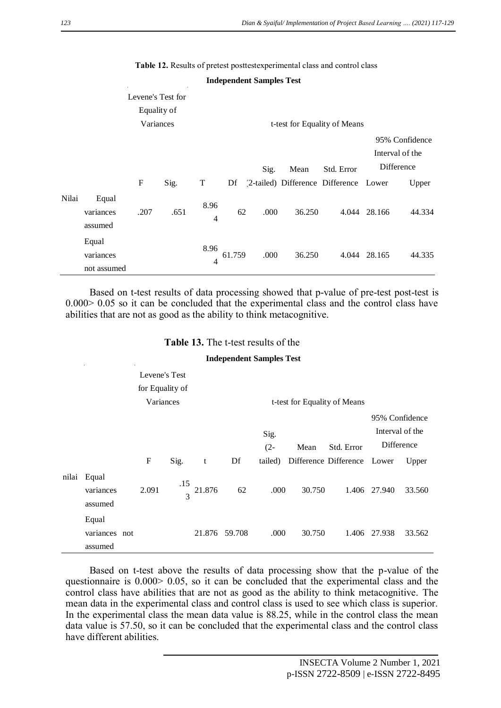|       |                                   |                                               |      |                        |        | <b>Independent Samples Test</b> |        |                                                         |              |                                                          |
|-------|-----------------------------------|-----------------------------------------------|------|------------------------|--------|---------------------------------|--------|---------------------------------------------------------|--------------|----------------------------------------------------------|
|       |                                   | Levene's Test for<br>Equality of<br>Variances |      |                        |        |                                 |        | t-test for Equality of Means                            |              |                                                          |
|       |                                   | $\mathbf{F}$                                  | Sig. | T                      |        | Sig.                            | Mean   | Std. Error<br>Df (2-tailed) Difference Difference Lower |              | 95% Confidence<br>Interval of the<br>Difference<br>Upper |
| Nilai | Equal<br>variances<br>assumed     | .207                                          | .651 | 8.96<br>$\overline{4}$ | 62     | .000                            | 36.250 |                                                         | 4.044 28.166 | 44.334                                                   |
|       | Equal<br>variances<br>not assumed |                                               |      | 8.96<br>$\overline{4}$ | 61.759 | .000                            | 36.250 |                                                         | 4.044 28.165 | 44.335                                                   |

**Table 12.** Results of pretest posttestexperimental class and control class

Based on t-test results of data processing showed that p-value of pre-test post-test is 0.000> 0.05 so it can be concluded that the experimental class and the control class have abilities that are not as good as the ability to think metacognitive.

| <b>Independent Samples Test</b> |                                   |  |             |                      |        |               |                              |        |                             |                                   |        |
|---------------------------------|-----------------------------------|--|-------------|----------------------|--------|---------------|------------------------------|--------|-----------------------------|-----------------------------------|--------|
|                                 | Levene's Test                     |  |             |                      |        |               |                              |        |                             |                                   |        |
|                                 | for Equality of                   |  |             |                      |        |               |                              |        |                             |                                   |        |
|                                 | Variances                         |  |             |                      |        |               | t-test for Equality of Means |        |                             |                                   |        |
|                                 |                                   |  |             |                      |        |               | Sig.                         |        |                             | 95% Confidence<br>Interval of the |        |
|                                 |                                   |  |             |                      |        |               | $(2 -$                       | Mean   | Std. Error                  | Difference                        |        |
|                                 |                                   |  | $\mathbf F$ | Sig.                 | t      | Df            | tailed)                      |        | Difference Difference Lower |                                   | Upper  |
| nilai                           | Equal<br>variances<br>assumed     |  | 2.091       | .15<br>$\mathcal{R}$ | 21.876 | 62            | .000.                        | 30.750 |                             | 1.406 27.940                      | 33.560 |
|                                 | Equal<br>variances not<br>assumed |  |             |                      |        | 21.876 59.708 | .000                         | 30.750 |                             | 1.406 27.938                      | 33.562 |

**Table 13.** The t-test results of the

Based on t-test above the results of data processing show that the p-value of the questionnaire is 0.000> 0.05, so it can be concluded that the experimental class and the control class have abilities that are not as good as the ability to think metacognitive. The mean data in the experimental class and control class is used to see which class is superior. In the experimental class the mean data value is 88.25, while in the control class the mean data value is 57.50, so it can be concluded that the experimental class and the control class have different abilities.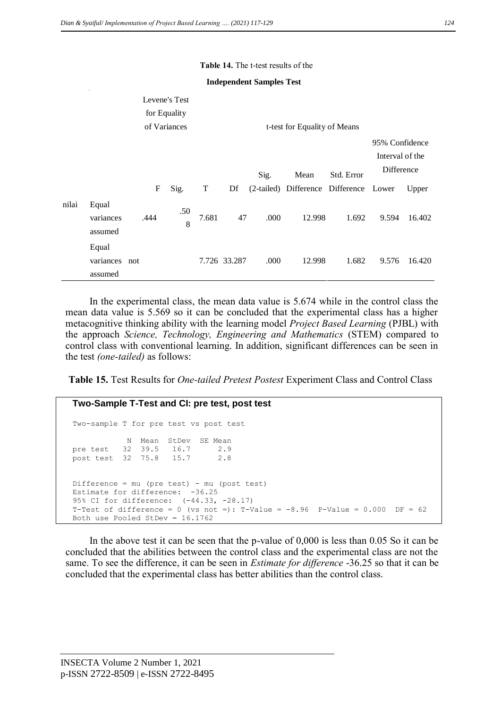#### **Table 14.** The t-test results of the

#### **Independent Samples Test**

|       |                                   |      | Levene's Test |       |                              |      |                                        |            |                                   |        |  |  |
|-------|-----------------------------------|------|---------------|-------|------------------------------|------|----------------------------------------|------------|-----------------------------------|--------|--|--|
|       |                                   |      | for Equality  |       |                              |      |                                        |            |                                   |        |  |  |
|       |                                   |      | of Variances  |       | t-test for Equality of Means |      |                                        |            |                                   |        |  |  |
|       |                                   |      |               |       |                              |      |                                        |            | 95% Confidence<br>Interval of the |        |  |  |
|       |                                   |      |               |       |                              | Sig. | Mean                                   | Std. Error | Difference                        |        |  |  |
|       |                                   | F    | Sig.          | T     | Df                           |      | (2-tailed) Difference Difference Lower |            |                                   | Upper  |  |  |
| nilai | Equal<br>variances<br>assumed     | .444 | .50<br>8      | 7.681 | 47                           | .000 | 12.998                                 | 1.692      | 9.594                             | 16.402 |  |  |
|       | Equal<br>variances not<br>assumed |      |               |       | 7.726 33.287                 | .000 | 12.998                                 | 1.682      | 9.576                             | 16.420 |  |  |

In the experimental class, the mean data value is 5.674 while in the control class the mean data value is 5.569 so it can be concluded that the experimental class has a higher metacognitive thinking ability with the learning model *Project Based Learning* (PJBL) with the approach *Science, Technology, Engineering and Mathematics* (STEM) compared to control class with conventional learning. In addition, significant differences can be seen in the test *(one-tailed)* as follows:

**Table 15.** Test Results for *One-tailed Pretest Postest* Experiment Class and Control Class

```
Two-Sample T-Test and CI: pre test, post test 
Two-sample T for pre test vs post test
           N Mean StDev SE Mean<br>32 39.5 16.7 2.9
pre test 32 39.5 16.7 2.9
post test 32 75.8 15.7 2.8
Difference = mu (pre test) - mu (post test)
Estimate for difference: -36.25
95% CI for difference: (-44.33, -28.17)
T-Test of difference = 0 (vs not =): T-Value = -8.96 P-Value = 0.000 DF = 62Both use Pooled StDev = 16.1762
```
In the above test it can be seen that the p-value of 0,000 is less than 0.05 So it can be concluded that the abilities between the control class and the experimental class are not the same. To see the difference, it can be seen in *Estimate for difference* -36.25 so that it can be concluded that the experimental class has better abilities than the control class.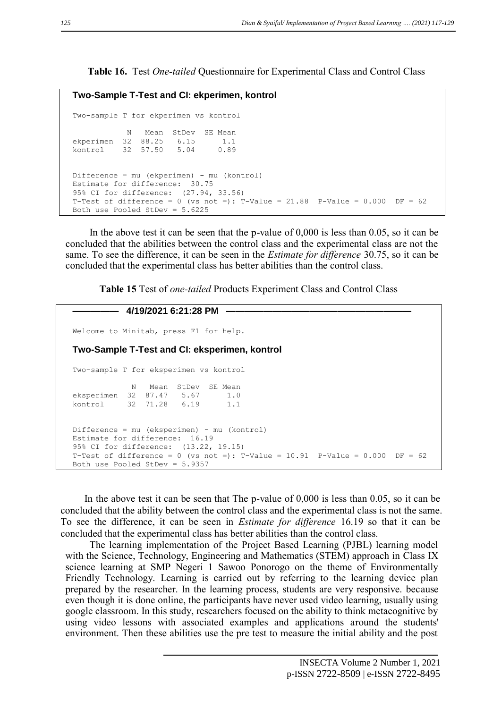**Table 16.** Test *One-tailed* Questionnaire for Experimental Class and Control Class

```
Two-Sample T-Test and CI: ekperimen, kontrol 
Two-sample T for ekperimen vs kontrol
           N Mean StDev SE Mean
ekperimen 32 88.25 6.15 1.1
kontrol 32 57.50 5.04 0.89
Difference = mu (ekperimen) - mu (kontrol)
Estimate for difference: 30.75
95% CI for difference: (27.94, 33.56)
T-Test of difference = 0 (vs not =): T-Value = 21.88 P-Value = 0.000 DF = 62Both use Pooled StDev = 5.6225
```
In the above test it can be seen that the p-value of 0,000 is less than 0.05, so it can be concluded that the abilities between the control class and the experimental class are not the same. To see the difference, it can be seen in the *Estimate for difference* 30.75, so it can be concluded that the experimental class has better abilities than the control class.

**Table 15** Test of *one-tailed* Products Experiment Class and Control Class

```
————— 4/19/2021 6:21:28 PM ————————————————————
Welcome to Minitab, press F1 for help.
Two-Sample T-Test and CI: eksperimen, kontrol 
Two-sample T for eksperimen vs kontrol
             N Mean StDev SE Mean
eksperimen 32 87.47 5.67 1.0
kontrol 32 71.28 6.19 1.1
Difference = mu (eksperimen) - mu (kontrol)
Estimate for difference: 16.19
95% CI for difference: (13.22, 19.15)
T-Test of difference = 0 (vs not =): T-Value = 10.91 P-Value = 0.000 DF = 62Both use Pooled StDev = 5.9357
```
In the above test it can be seen that The p-value of 0,000 is less than 0.05, so it can be concluded that the ability between the control class and the experimental class is not the same. To see the difference, it can be seen in *Estimate for difference* 16.19 so that it can be concluded that the experimental class has better abilities than the control class.

The learning implementation of the Project Based Learning (PJBL) learning model with the Science, Technology, Engineering and Mathematics (STEM) approach in Class IX science learning at SMP Negeri 1 Sawoo Ponorogo on the theme of Environmentally Friendly Technology. Learning is carried out by referring to the learning device plan prepared by the researcher. In the learning process, students are very responsive. because even though it is done online, the participants have never used video learning, usually using google classroom. In this study, researchers focused on the ability to think metacognitive by using video lessons with associated examples and applications around the students' environment. Then these abilities use the pre test to measure the initial ability and the post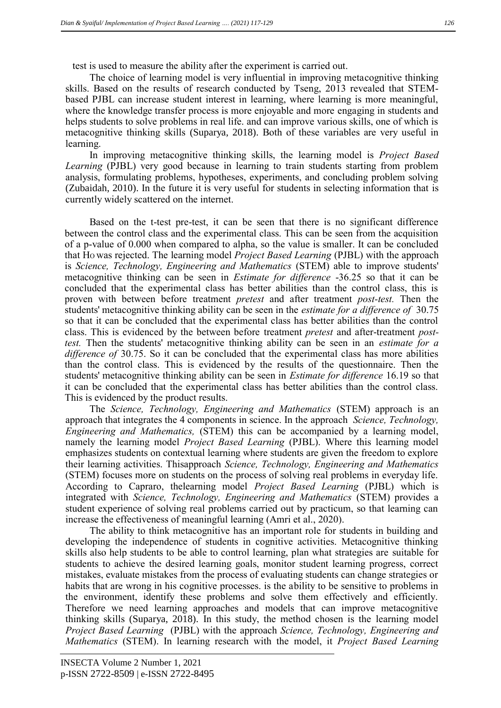test is used to measure the ability after the experiment is carried out.

The choice of learning model is very influential in improving metacognitive thinking skills. Based on the results of research conducted by Tseng, 2013 revealed that STEMbased PJBL can increase student interest in learning, where learning is more meaningful, where the knowledge transfer process is more enjoyable and more engaging in students and helps students to solve problems in real life. and can improve various skills, one of which is metacognitive thinking skills (Suparya, 2018). Both of these variables are very useful in learning.

In improving metacognitive thinking skills, the learning model is *Project Based Learning* (PJBL) very good because in learning to train students starting from problem analysis, formulating problems, hypotheses, experiments, and concluding problem solving (Zubaidah, 2010). In the future it is very useful for students in selecting information that is currently widely scattered on the internet.

Based on the t-test pre-test, it can be seen that there is no significant difference between the control class and the experimental class. This can be seen from the acquisition of a p-value of 0.000 when compared to alpha, so the value is smaller. It can be concluded that HO was rejected. The learning model *Project Based Learning* (PJBL) with the approach is *Science, Technology, Engineering and Mathematics* (STEM) able to improve students' metacognitive thinking can be seen in *Estimate for difference* -36.25 so that it can be concluded that the experimental class has better abilities than the control class, this is proven with between before treatment *pretest* and after treatment *post-test.* Then the students' metacognitive thinking ability can be seen in the *estimate for a difference of* 30.75 so that it can be concluded that the experimental class has better abilities than the control class. This is evidenced by the between before treatment *pretest* and after-treatment *posttest.* Then the students' metacognitive thinking ability can be seen in an *estimate for a difference of* 30.75. So it can be concluded that the experimental class has more abilities than the control class. This is evidenced by the results of the questionnaire. Then the students' metacognitive thinking ability can be seen in *Estimate for difference* 16.19 so that it can be concluded that the experimental class has better abilities than the control class. This is evidenced by the product results.

The *Science, Technology, Engineering and Mathematics* (STEM) approach is an approach that integrates the 4 components in science. In the approach *Science, Technology, Engineering and Mathematics,* (STEM) this can be accompanied by a learning model, namely the learning model *Project Based Learning* (PJBL). Where this learning model emphasizes students on contextual learning where students are given the freedom to explore their learning activities. Thisapproach *Science, Technology, Engineering and Mathematics*  (STEM) focuses more on students on the process of solving real problems in everyday life. According to Capraro, thelearning model *Project Based Learning* (PJBL) which is integrated with *Science, Technology, Engineering and Mathematics* (STEM) provides a student experience of solving real problems carried out by practicum, so that learning can increase the effectiveness of meaningful learning (Amri et al., 2020).

The ability to think metacognitive has an important role for students in building and developing the independence of students in cognitive activities. Metacognitive thinking skills also help students to be able to control learning, plan what strategies are suitable for students to achieve the desired learning goals, monitor student learning progress, correct mistakes, evaluate mistakes from the process of evaluating students can change strategies or habits that are wrong in his cognitive processes. is the ability to be sensitive to problems in the environment, identify these problems and solve them effectively and efficiently. Therefore we need learning approaches and models that can improve metacognitive thinking skills (Suparya, 2018). In this study, the method chosen is the learning model *Project Based Learning* (PJBL) with the approach *Science, Technology, Engineering and Mathematics* (STEM). In learning research with the model, it *Project Based Learning*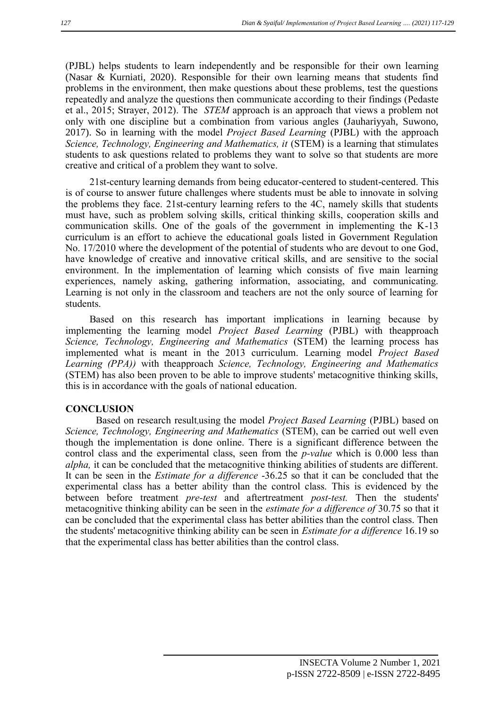(PJBL) helps students to learn independently and be responsible for their own learning (Nasar & Kurniati, 2020). Responsible for their own learning means that students find problems in the environment, then make questions about these problems, test the questions repeatedly and analyze the questions then communicate according to their findings (Pedaste et al., 2015; Strayer, 2012). The *STEM* approach is an approach that views a problem not only with one discipline but a combination from various angles (Jauhariyyah, Suwono, 2017). So in learning with the model *Project Based Learning* (PJBL) with the approach *Science, Technology, Engineering and Mathematics, it* (STEM) is a learning that stimulates students to ask questions related to problems they want to solve so that students are more creative and critical of a problem they want to solve.

21st-century learning demands from being educator-centered to student-centered. This is of course to answer future challenges where students must be able to innovate in solving the problems they face. 21st-century learning refers to the 4C, namely skills that students must have, such as problem solving skills, critical thinking skills, cooperation skills and communication skills. One of the goals of the government in implementing the K-13 curriculum is an effort to achieve the educational goals listed in Government Regulation No. 17/2010 where the development of the potential of students who are devout to one God, have knowledge of creative and innovative critical skills, and are sensitive to the social environment. In the implementation of learning which consists of five main learning experiences, namely asking, gathering information, associating, and communicating. Learning is not only in the classroom and teachers are not the only source of learning for students.

Based on this research has important implications in learning because by implementing the learning model *Project Based Learning* (PJBL) with theapproach *Science, Technology, Engineering and Mathematics* (STEM) the learning process has implemented what is meant in the 2013 curriculum. Learning model *Project Based Learning (PPA))* with theapproach *Science, Technology, Engineering and Mathematics*  (STEM) has also been proven to be able to improve students' metacognitive thinking skills, this is in accordance with the goals of national education.

### **CONCLUSION**

Based on research result,using the model *Project Based Learning* (PJBL) based on *Science, Technology, Engineering and Mathematics* (STEM), can be carried out well even though the implementation is done online. There is a significant difference between the control class and the experimental class, seen from the *p-value* which is 0.000 less than *alpha,* it can be concluded that the metacognitive thinking abilities of students are different. It can be seen in the *Estimate for a difference* -36.25 so that it can be concluded that the experimental class has a better ability than the control class. This is evidenced by the between before treatment *pre-test* and aftertreatment *post-test.* Then the students' metacognitive thinking ability can be seen in the *estimate for a difference of* 30.75 so that it can be concluded that the experimental class has better abilities than the control class. Then the students' metacognitive thinking ability can be seen in *Estimate for a difference* 16.19 so that the experimental class has better abilities than the control class.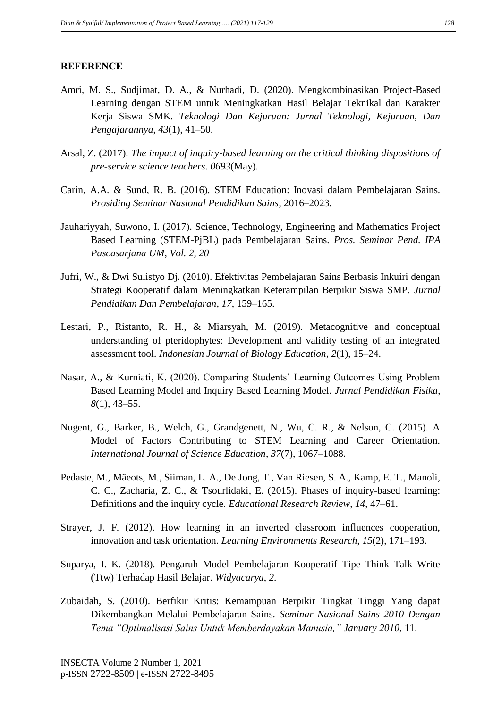# **REFERENCE**

- Amri, M. S., Sudjimat, D. A., & Nurhadi, D. (2020). Mengkombinasikan Project-Based Learning dengan STEM untuk Meningkatkan Hasil Belajar Teknikal dan Karakter Kerja Siswa SMK. *Teknologi Dan Kejuruan: Jurnal Teknologi, Kejuruan, Dan Pengajarannya*, *43*(1), 41–50.
- Arsal, Z. (2017). *The impact of inquiry-based learning on the critical thinking dispositions of pre-service science teachers*. *0693*(May).
- Carin, A.A. & Sund, R. B. (2016). STEM Education: Inovasi dalam Pembelajaran Sains. *Prosiding Seminar Nasional Pendidikan Sains*, 2016–2023.
- Jauhariyyah, Suwono, I. (2017). Science, Technology, Engineering and Mathematics Project Based Learning (STEM-PjBL) pada Pembelajaran Sains. *Pros. Seminar Pend. IPA Pascasarjana UM*, *Vol. 2, 20*
- Jufri, W., & Dwi Sulistyo Dj. (2010). Efektivitas Pembelajaran Sains Berbasis Inkuiri dengan Strategi Kooperatif dalam Meningkatkan Keterampilan Berpikir Siswa SMP. *Jurnal Pendidikan Dan Pembelajaran*, *17*, 159–165.
- Lestari, P., Ristanto, R. H., & Miarsyah, M. (2019). Metacognitive and conceptual understanding of pteridophytes: Development and validity testing of an integrated assessment tool. *Indonesian Journal of Biology Education*, *2*(1), 15–24.
- Nasar, A., & Kurniati, K. (2020). Comparing Students' Learning Outcomes Using Problem Based Learning Model and Inquiry Based Learning Model. *Jurnal Pendidikan Fisika*, *8*(1), 43–55.
- Nugent, G., Barker, B., Welch, G., Grandgenett, N., Wu, C. R., & Nelson, C. (2015). A Model of Factors Contributing to STEM Learning and Career Orientation. *International Journal of Science Education*, *37*(7), 1067–1088.
- Pedaste, M., Mäeots, M., Siiman, L. A., De Jong, T., Van Riesen, S. A., Kamp, E. T., Manoli, C. C., Zacharia, Z. C., & Tsourlidaki, E. (2015). Phases of inquiry-based learning: Definitions and the inquiry cycle. *Educational Research Review*, *14*, 47–61.
- Strayer, J. F. (2012). How learning in an inverted classroom influences cooperation, innovation and task orientation. *Learning Environments Research*, *15*(2), 171–193.
- Suparya, I. K. (2018). Pengaruh Model Pembelajaran Kooperatif Tipe Think Talk Write (Ttw) Terhadap Hasil Belajar. *Widyacarya*, *2*.
- Zubaidah, S. (2010). Berfikir Kritis: Kemampuan Berpikir Tingkat Tinggi Yang dapat Dikembangkan Melalui Pembelajaran Sains. *Seminar Nasional Sains 2010 Dengan Tema "Optimalisasi Sains Untuk Memberdayakan Manusia," January 2010*, 11.